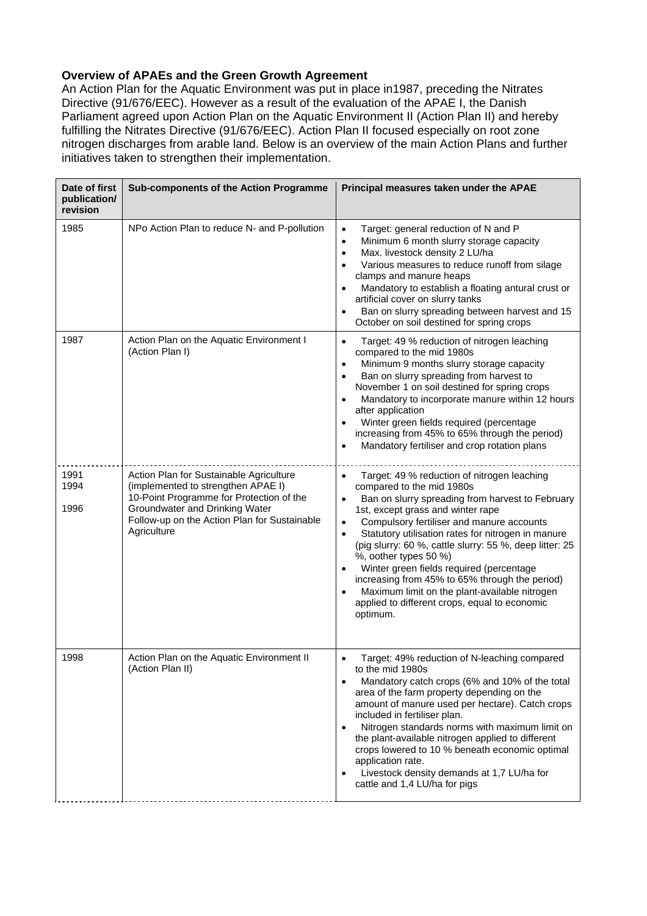## **Overview of APAEs and the Green Growth Agreement**

An Action Plan for the Aquatic Environment was put in place in1987, preceding the Nitrates Directive (91/676/EEC). However as a result of the evaluation of the APAE I, the Danish Parliament agreed upon Action Plan on the Aquatic Environment II (Action Plan II) and hereby fulfilling the Nitrates Directive (91/676/EEC). Action Plan II focused especially on root zone nitrogen discharges from arable land. Below is an overview of the main Action Plans and further initiatives taken to strengthen their implementation.

| Date of first<br>publication/<br>revision | Sub-components of the Action Programme                                                                                                                                                                                     | Principal measures taken under the APAE                                                                                                                                                                                                                                                                                                                                                                                                                                                                                                                                                                     |
|-------------------------------------------|----------------------------------------------------------------------------------------------------------------------------------------------------------------------------------------------------------------------------|-------------------------------------------------------------------------------------------------------------------------------------------------------------------------------------------------------------------------------------------------------------------------------------------------------------------------------------------------------------------------------------------------------------------------------------------------------------------------------------------------------------------------------------------------------------------------------------------------------------|
| 1985                                      | NPo Action Plan to reduce N- and P-pollution                                                                                                                                                                               | Target: general reduction of N and P<br>$\bullet$<br>Minimum 6 month slurry storage capacity<br>$\bullet$<br>Max. livestock density 2 LU/ha<br>$\bullet$<br>Various measures to reduce runoff from silage<br>$\bullet$<br>clamps and manure heaps<br>Mandatory to establish a floating antural crust or<br>artificial cover on slurry tanks<br>Ban on slurry spreading between harvest and 15<br>$\bullet$<br>October on soil destined for spring crops                                                                                                                                                     |
| 1987                                      | Action Plan on the Aquatic Environment I<br>(Action Plan I)                                                                                                                                                                | Target: 49 % reduction of nitrogen leaching<br>$\bullet$<br>compared to the mid 1980s<br>Minimum 9 months slurry storage capacity<br>$\bullet$<br>Ban on slurry spreading from harvest to<br>$\bullet$<br>November 1 on soil destined for spring crops<br>Mandatory to incorporate manure within 12 hours<br>after application<br>Winter green fields required (percentage<br>increasing from 45% to 65% through the period)<br>Mandatory fertiliser and crop rotation plans                                                                                                                                |
| 1991<br>1994<br>1996                      | Action Plan for Sustainable Agriculture<br>(implemented to strengthen APAE I)<br>10-Point Programme for Protection of the<br>Groundwater and Drinking Water<br>Follow-up on the Action Plan for Sustainable<br>Agriculture | Target: 49 % reduction of nitrogen leaching<br>$\bullet$<br>compared to the mid 1980s<br>Ban on slurry spreading from harvest to February<br>1st, except grass and winter rape<br>Compulsory fertiliser and manure accounts<br>$\bullet$<br>Statutory utilisation rates for nitrogen in manure<br>$\bullet$<br>(pig slurry: 60 %, cattle slurry: 55 %, deep litter: 25<br>%, oother types 50 %)<br>Winter green fields required (percentage<br>increasing from 45% to 65% through the period)<br>Maximum limit on the plant-available nitrogen<br>applied to different crops, equal to economic<br>optimum. |
| 1998                                      | Action Plan on the Aquatic Environment II<br>(Action Plan II)                                                                                                                                                              | Target: 49% reduction of N-leaching compared<br>$\bullet$<br>to the mid 1980s<br>Mandatory catch crops (6% and 10% of the total<br>$\bullet$<br>area of the farm property depending on the<br>amount of manure used per hectare). Catch crops<br>included in fertiliser plan.<br>Nitrogen standards norms with maximum limit on<br>$\bullet$<br>the plant-available nitrogen applied to different<br>crops lowered to 10 % beneath economic optimal<br>application rate.<br>Livestock density demands at 1,7 LU/ha for<br>cattle and 1,4 LU/ha for pigs                                                     |